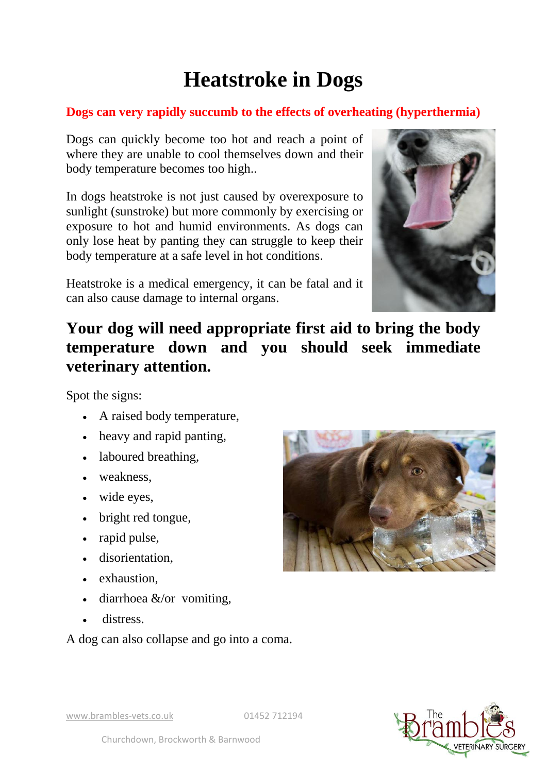## **Heatstroke in Dogs**

## **Dogs can very rapidly succumb to the effects of overheating (hyperthermia)**

Dogs can quickly become too hot and reach a point of where they are unable to cool themselves down and their body temperature becomes too high..

In dogs heatstroke is not just caused by overexposure to sunlight (sunstroke) but more commonly by exercising or exposure to hot and humid environments. As dogs can only lose heat by panting they can struggle to keep their body temperature at a safe level in hot conditions.

Heatstroke is a medical emergency, it can be fatal and it can also cause damage to internal organs.



## **Your dog will need appropriate first aid to bring the body temperature down and you should seek immediate veterinary attention.**

Spot the signs:

- A raised body temperature,
- heavy and rapid panting,
- laboured breathing,
- weakness,
- wide eyes.
- bright red tongue,
- rapid pulse,
- disorientation,
- exhaustion,
- $\bullet$  diarrhoea &/or vomiting,
- distress.

A dog can also collapse and go into a coma.





www.brambles-vets.co.uk 01452 712194

Churchdown, Brockworth & Barnwood